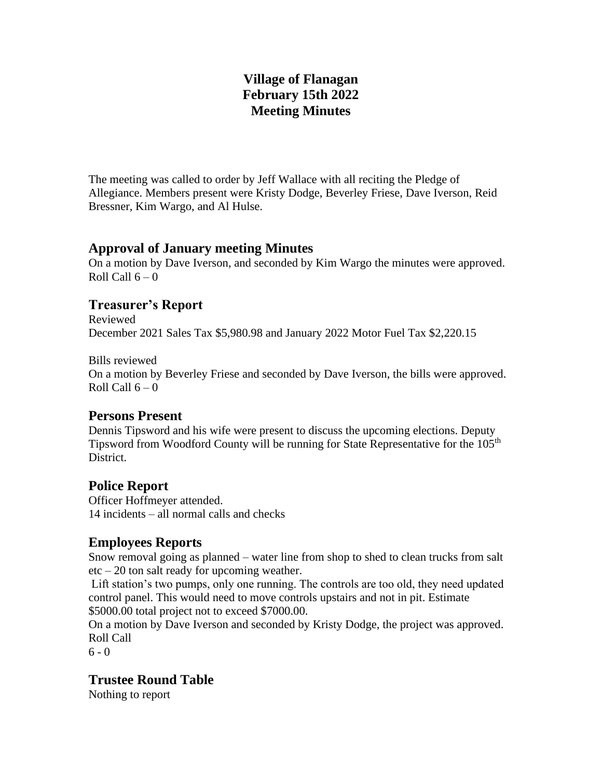# **Village of Flanagan February 15th 2022 Meeting Minutes**

The meeting was called to order by Jeff Wallace with all reciting the Pledge of Allegiance. Members present were Kristy Dodge, Beverley Friese, Dave Iverson, Reid Bressner, Kim Wargo, and Al Hulse.

#### **Approval of January meeting Minutes**

On a motion by Dave Iverson, and seconded by Kim Wargo the minutes were approved. Roll Call  $6 - 0$ 

## **Treasurer's Report**

Reviewed December 2021 Sales Tax \$5,980.98 and January 2022 Motor Fuel Tax \$2,220.15

Bills reviewed

On a motion by Beverley Friese and seconded by Dave Iverson, the bills were approved. Roll Call  $6 - 0$ 

# **Persons Present**

Dennis Tipsword and his wife were present to discuss the upcoming elections. Deputy Tipsword from Woodford County will be running for State Representative for the 105<sup>th</sup> District.

#### **Police Report**

Officer Hoffmeyer attended. 14 incidents – all normal calls and checks

# **Employees Reports**

Snow removal going as planned – water line from shop to shed to clean trucks from salt etc – 20 ton salt ready for upcoming weather.

Lift station's two pumps, only one running. The controls are too old, they need updated control panel. This would need to move controls upstairs and not in pit. Estimate \$5000.00 total project not to exceed \$7000.00.

On a motion by Dave Iverson and seconded by Kristy Dodge, the project was approved. Roll Call

 $6 - 0$ 

# **Trustee Round Table**

Nothing to report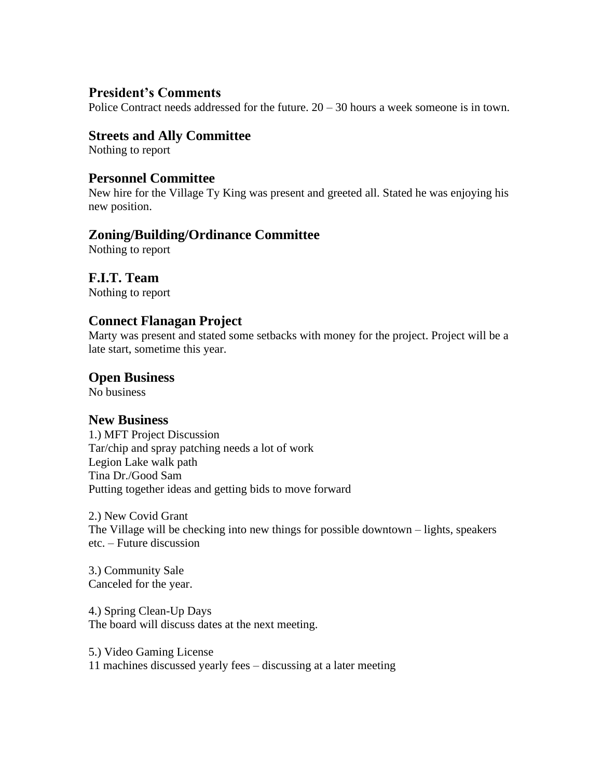## **President's Comments**

Police Contract needs addressed for the future.  $20 - 30$  hours a week someone is in town.

### **Streets and Ally Committee**

Nothing to report

#### **Personnel Committee**

New hire for the Village Ty King was present and greeted all. Stated he was enjoying his new position.

## **Zoning/Building/Ordinance Committee**

Nothing to report

# **F.I.T. Team**

Nothing to report

## **Connect Flanagan Project**

Marty was present and stated some setbacks with money for the project. Project will be a late start, sometime this year.

# **Open Business**

No business

#### **New Business**

1.) MFT Project Discussion Tar/chip and spray patching needs a lot of work Legion Lake walk path Tina Dr./Good Sam Putting together ideas and getting bids to move forward

2.) New Covid Grant The Village will be checking into new things for possible downtown – lights, speakers etc. – Future discussion

3.) Community Sale Canceled for the year.

4.) Spring Clean-Up Days The board will discuss dates at the next meeting.

5.) Video Gaming License 11 machines discussed yearly fees – discussing at a later meeting